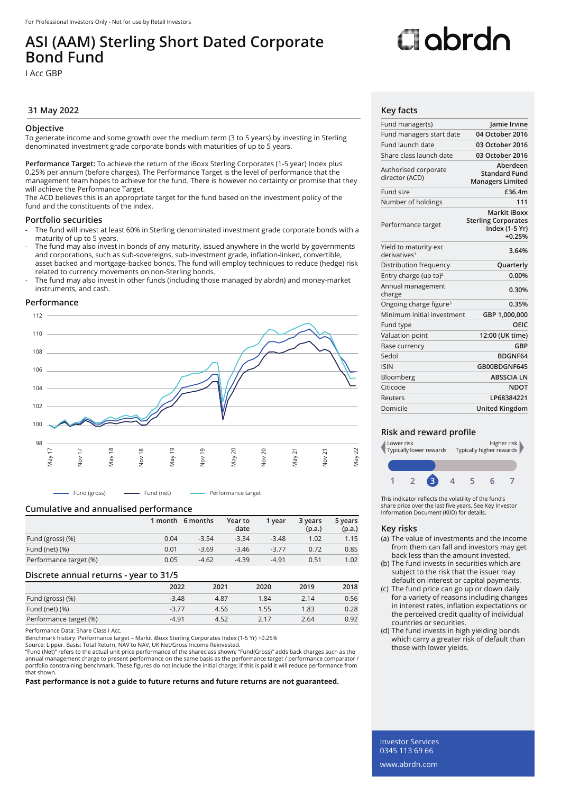## **ASI (AAM) Sterling Short Dated Corporate Bond Fund**

I Acc GBP

#### **31 May 2022 Key facts**

#### **Objective**

To generate income and some growth over the medium term (3 to 5 years) by investing in Sterling denominated investment grade corporate bonds with maturities of up to 5 years.

**Performance Target:** To achieve the return of the iBoxx Sterling Corporates (1-5 year) Index plus 0.25% per annum (before charges). The Performance Target is the level of performance that the management team hopes to achieve for the fund. There is however no certainty or promise that they will achieve the Performance Target.

The ACD believes this is an appropriate target for the fund based on the investment policy of the fund and the constituents of the index.

#### **Portfolio securities**

- The fund will invest at least 60% in Sterling denominated investment grade corporate bonds with a maturity of up to 5 years.
- The fund may also invest in bonds of any maturity, issued anywhere in the world by governments and corporations, such as sub-sovereigns, sub-investment grade, inflation-linked, convertible, asset backed and mortgage-backed bonds. The fund will employ techniques to reduce (hedge) risk related to currency movements on non-Sterling bonds.
- The fund may also invest in other funds (including those managed by abrdn) and money-market instruments, and cash.

#### **Performance**



- Fund (gross) - Fund (net) - Performance target

#### **Cumulative and annualised performance**

|                        |      | 1 month 6 months | Year to<br>date | 1 vear  | 3 years<br>(p.a.) | 5 years<br>(p.a.) |
|------------------------|------|------------------|-----------------|---------|-------------------|-------------------|
| Fund (gross) (%)       | 0.04 | $-3.54$          | $-3.34$         | $-3.48$ | 1.02              | 1.15              |
| Fund (net) $(\%)$      | 0.01 | $-3.69$          | $-3.46$         | $-3.77$ | 0.72              | 0.85              |
| Performance target (%) | 0.05 | $-4.62$          | $-4.39$         | $-4.91$ | 0.51              | 1.02              |

#### **Discrete annual returns - year to 31/5**

|                        | 2022    | 2021 | 2020 | 2019 | 2018 |
|------------------------|---------|------|------|------|------|
| Fund (gross) (%)       | $-3.48$ | 4.87 | 1.84 | 2.14 | 0.56 |
| Fund (net) $(\%)$      | $-3.77$ | 4.56 | 1.55 | 1.83 | 0.28 |
| Performance target (%) | $-4.91$ | 4.52 | 2.17 | 2.64 | 0.92 |

Performance Data: Share Class I Acc.

Benchmark history: Performance target – Markit iBoxx Sterling Corporates Index (1-5 Yr) +0.25%

Source: Lipper. Basis: Total Return, NAV to NAV, UK Net/Gross Income Reinvested.

"Fund (Net)" refers to the actual unit price performance of the shareclass shown; "Fund(Gross)" adds back charges such as the annual management charge to present performance on the same basis as the performance target / performance comparator / portfolio constraining benchmark. These figures do not include the initial charge; if this is paid it will reduce performance from that shown.

**Past performance is not a guide to future returns and future returns are not guaranteed.**

# Oobrdo

| Fund manager(s)                                   | Jamie Irvine                                                                    |
|---------------------------------------------------|---------------------------------------------------------------------------------|
| Fund managers start date                          | 04 October 2016                                                                 |
| Fund launch date                                  | 03 October 2016                                                                 |
| Share class launch date                           | 03 October 2016                                                                 |
| Authorised corporate<br>director (ACD)            | Aberdeen<br><b>Standard Fund</b><br><b>Managers Limited</b>                     |
| Fund size                                         | £36.4m                                                                          |
| Number of holdings                                | 111                                                                             |
| Performance target                                | <b>Markit iBoxx</b><br><b>Sterling Corporates</b><br>Index (1-5 Yr)<br>$+0.25%$ |
| Yield to maturity exc<br>derivatives <sup>1</sup> | 3.64%                                                                           |
| Distribution frequency                            | Quarterly                                                                       |
| Entry charge (up to) <sup>2</sup>                 | 0.00%                                                                           |
| Annual management<br>charge                       | 0.30%                                                                           |
| Ongoing charge figure <sup>3</sup>                | 0.35%                                                                           |
| Minimum initial investment                        | GBP 1,000,000                                                                   |
| Fund type                                         | OFIC                                                                            |
| Valuation point                                   | 12:00 (UK time)                                                                 |
| Base currency                                     | GBP                                                                             |
| Sedol                                             | BDGNF64                                                                         |
| <b>ISIN</b>                                       | GB00BDGNF645                                                                    |
| Bloomberg                                         | <b>ABSSCIA LN</b>                                                               |
| Citicode                                          | <b>NDOT</b>                                                                     |
| Reuters                                           | LP68384221                                                                      |
| Domicile                                          | <b>United Kingdom</b>                                                           |

#### **Risk and reward profile**



This indicator reflects the volatility of the fund's share price over the last five years. See Key Investor Information Document (KIID) for details.

#### **Key risks**

- (a) The value of investments and the income from them can fall and investors may get back less than the amount invested.
- (b) The fund invests in securities which are subject to the risk that the issuer may default on interest or capital payments.
- (c) The fund price can go up or down daily for a variety of reasons including changes in interest rates, inflation expectations or the perceived credit quality of individual countries or securities.
- (d) The fund invests in high yielding bonds which carry a greater risk of default than those with lower yields.

Investor Services 0345 113 69 66 www.abrdn.com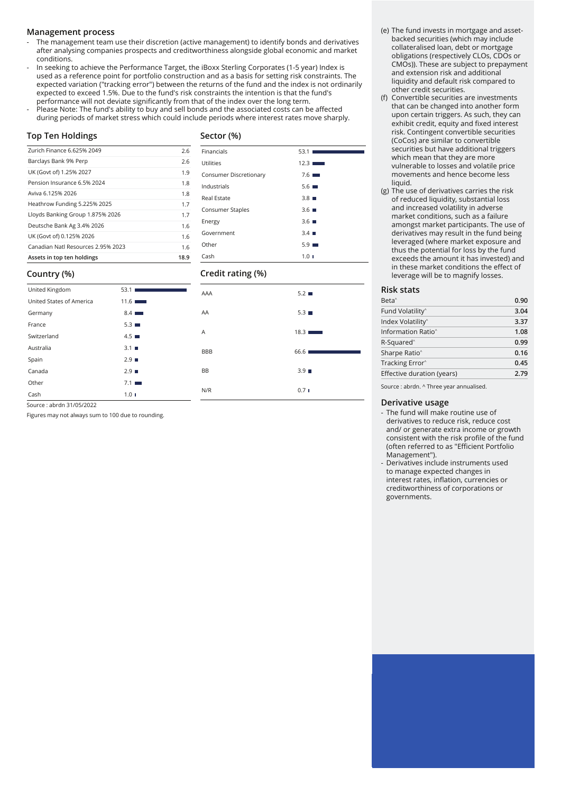#### **Management process**

- The management team use their discretion (active management) to identify bonds and derivatives after analysing companies prospects and creditworthiness alongside global economic and market conditions.
- In seeking to achieve the Performance Target, the iBoxx Sterling Corporates (1-5 year) Index is used as a reference point for portfolio construction and as a basis for setting risk constraints. The expected variation ("tracking error") between the returns of the fund and the index is not ordinarily expected to exceed 1.5%. Due to the fund's risk constraints the intention is that the fund's performance will not deviate significantly from that of the index over the long term.
- Please Note: The fund's ability to buy and sell bonds and the associated costs can be affected during periods of market stress which could include periods where interest rates move sharply.

#### **Top Ten Holdings**

#### **Sector (%)**

Financials 53.1 Utilities 12.3 Consumer Discretionary 7.6 Industrials 5.6 Real Estate 3.8 Consumer Staples 3.6 ■ Energy 3.6 ■ Government 3.4 Other 5.9 Cash 1.0

| Zurich Finance 6.625% 2049         | 2.6  |
|------------------------------------|------|
| Barclays Bank 9% Perp              | 2.6  |
| UK (Govt of) 1.25% 2027            | 1.9  |
| Pension Insurance 6.5% 2024        | 1.8  |
| Aviva 6.125% 2026                  | 1.8  |
| Heathrow Funding 5.225% 2025       | 1.7  |
| Lloyds Banking Group 1.875% 2026   | 1.7  |
| Deutsche Bank Ag 3.4% 2026         | 1.6  |
| UK (Govt of) 0.125% 2026           | 1.6  |
| Canadian Natl Resources 2.95% 2023 | 1.6  |
| Assets in top ten holdings         | 18.9 |

### **Country (%)**

| Country (%)              |                    | Credit rating (%) |                    |  |
|--------------------------|--------------------|-------------------|--------------------|--|
| United Kingdom           | 53.1               | AAA               | 5.2                |  |
| United States of America | 11.6               |                   |                    |  |
| Germany                  | 8.4                | AA                | $5.3 \blacksquare$ |  |
| France                   | $5.3 \blacksquare$ |                   |                    |  |
| Switzerland              | $4.5 \blacksquare$ | A                 | 18.3               |  |
| Australia                | $3.1 \blacksquare$ | <b>BBB</b>        | 66.6               |  |
| Spain                    | 2.9                |                   |                    |  |
| Canada                   | 2.9                | <b>BB</b>         | 3.9                |  |
| Other                    | 7.1                |                   |                    |  |
| Cash                     | 1.01               | N/R               | 0.71               |  |

Source : abrdn 31/05/2022

Figures may not always sum to 100 due to rounding.

#### (e) The fund invests in mortgage and assetbacked securities (which may include collateralised loan, debt or mortgage obligations (respectively CLOs, CDOs or CMOs)). These are subject to prepayment and extension risk and additional liquidity and default risk compared to other credit securities.

- (f) Convertible securities are investments that can be changed into another form upon certain triggers. As such, they can exhibit credit, equity and fixed interest risk. Contingent convertible securities (CoCos) are similar to convertible securities but have additional triggers which mean that they are more vulnerable to losses and volatile price movements and hence become less liquid.
- (g) The use of derivatives carries the risk of reduced liquidity, substantial loss and increased volatility in adverse market conditions, such as a failure amongst market participants. The use of derivatives may result in the fund being leveraged (where market exposure and thus the potential for loss by the fund exceeds the amount it has invested) and in these market conditions the effect of leverage will be to magnify losses.

#### **Risk stats**

| 3.04<br>3.37 |
|--------------|
|              |
|              |
| 1.08         |
| 0.99         |
| 0.16         |
| 0.45         |
| 2.79         |
|              |

Source : abrdn. ^ Three year annualised.

#### **Derivative usage**

- The fund will make routine use of derivatives to reduce risk, reduce cost and/ or generate extra income or growth consistent with the risk profile of the fund (often referred to as "Efficient Portfolio Management").
- Derivatives include instruments used to manage expected changes in interest rates, inflation, currencies or creditworthiness of corporations or governments.